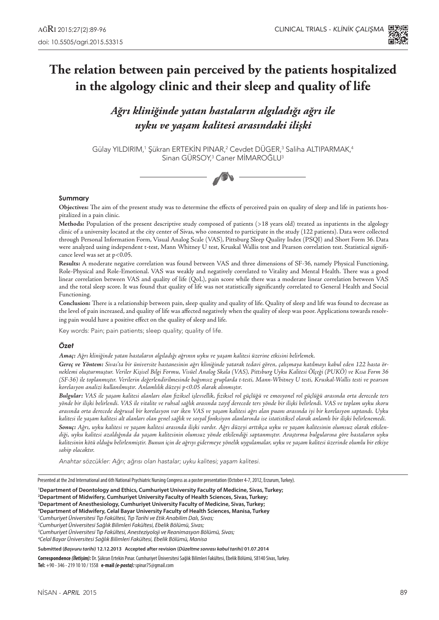# **The relation between pain perceived by the patients hospitalized in the algology clinic and their sleep and quality of life**

*Ağrı kliniğinde yatan hastaların algıladığı ağrı ile uyku ve yaşam kalitesi arasındaki ilişki*

Gülay YILDIRIM,<sup>1</sup> Şükran ERTEKIN PINAR,<sup>2</sup> Cevdet DUGER,<sup>3</sup> Saliha ALTIPARMAK,<sup>4</sup> Sinan GURSOY,<sup>3</sup> Caner MIMAROĞLU<sup>3</sup>



#### **Summary**

**Objectives:** The aim of the present study was to determine the effects of perceived pain on quality of sleep and life in patients hospitalized in a pain clinic.

**Methods:** Population of the present descriptive study composed of patients (>18 years old) treated as inpatients in the algology clinic of a university located at the city center of Sivas, who consented to participate in the study (122 patients). Data were collected through Personal Information Form, Visual Analog Scale (VAS), Pittsburg Sleep Quality Index (PSQI) and Short Form 36. Data were analyzed using independent t-test, Mann Whitney U test, Kruskal Wallis test and Pearson correlation test. Statistical significance level was set at p<0.05.

**Results:** A moderate negative correlation was found between VAS and three dimensions of SF-36, namely Physical Functioning, Role-Physical and Role-Emotional. VAS was weakly and negatively correlated to Vitality and Mental Health. There was a good linear correlation between VAS and quality of life (QoL), pain score while there was a moderate linear correlation between VAS and the total sleep score. It was found that quality of life was not statistically significantly correlated to General Health and Social Functioning.

**Conclusion:** There is a relationship between pain, sleep quality and quality of life. Quality of sleep and life was found to decrease as the level of pain increased, and quality of life was affected negatively when the quality of sleep was poor. Applications towards resolving pain would have a positive effect on the quality of sleep and life.

Key words: Pain; pain patients; sleep quality; quality of life.

#### *Özet*

*Amaç: Ağrı kliniğinde yatan hastaların algıladığı ağrının uyku ve yaşam kalitesi üzerine etkisini belirlemek.*

*Gereç ve Yöntem: Sivas'ta bir üniversite hastanesinin ağrı kliniğinde yatarak tedavi gören, çalışmaya katılmayı kabul eden 122 hasta örneklemi oluşturmuştur. Veriler Kişisel Bilgi Formu, Visüel Analog Skala (VAS), Pittsburg Uyku Kalitesi Ölçeği (PUKÖ) ve Kısa Form 36 (SF-36) ile toplanmıştır. Verilerin değerlendirilmesinde bağımsız gruplarda t-testi, Mann-Whitney U testi, Kruskal-Wallis testi ve pearson korelasyon analizi kullanılmıştır. Anlamlılık düzeyi p<0.05 olarak alınmıştır.*

*Bulgular: VAS ile yaşam kalitesi alanları olan fiziksel işlevsellik, fiziksel rol güçlüğü ve emosyonel rol güçlüğü arasında orta derecede ters yönde bir ilişki belirlendi. VAS ile vitalite ve ruhsal sağlık arasında zayıf derecede ters yönde bir ilişki belirlendi. VAS ve toplam uyku skoru arasında orta derecede doğrusal bir korelasyon var iken VAS ve yaşam kalitesi ağrı alan puanı arasında iyi bir korelasyon saptandı. Uyku kalitesi ile yaşam kalitesi alt alanları olan genel sağlık ve sosyal fonksiyon alanlarında ise istatistiksel olarak anlamlı bir ilişki belirlenemedi. Sonuç: Ağrı, uyku kalitesi ve yaşam kalitesi arasında ilişki vardır. Ağrı düzeyi arttıkça uyku ve yaşam kalitesinin olumsuz olarak etkilendiği, uyku kalitesi azaldığında da yaşam kalitesinin olumsuz yönde etkilendiği saptanmıştır. Araştırma bulgularına göre hastaların uyku kalitesinin kötü olduğu belirlenmiştir. Bunun için de ağrıyı gidermeye yönelik uygulamalar, uyku ve yaşam kalitesi üzerinde olumlu bir etkiye sahip olacaktır.*

Anahtar sözcükler: Ağrı; ağrısı olan hastalar; uyku kalitesi; yaşam kalitesi.

Presented at the 2nd International and 6th National Psychiatric Nursing Congress as a poster presentation (October 4-7, 2012, Erzurum, Turkey).

**1 Department of Deontology and Ethics, Cumhuriyet University Faculty of Medicine, Sivas, Turkey;**

**2 Department of Midwifery, Cumhuriyet University Faculty of Health Sciences, Sivas, Turkey;**

**3 Department of Anesthesiology, Cumhuriyet University Faculty of Medicine, Sivas, Turkey;**

**4 Department of Midwifery, Celal Bayar University Faculty of Health Sciences, Manisa, Turkey**

*1 Cumhuriyet Üniversitesi Tıp Fakültesi, Tıp Tarihi ve Etik Anabilim Dalı, Sivas;*

**Submitted (***Başvuru tarihi)* **12.12.2013 Accepted after revision (***Düzeltme sonrası kabul tarihi)* **01.07.2014** 

**Correspondence** *(İletişim):* Dr. Şükran Ertekin Pınar. Cumhuriyet Üniversitesi Sağlık Bilimleri Fakültesi, Ebelik Bölümü, 58140 Sivas, Turkey. **Tel:** +90 - 346 - 219 10 10 / 1558 **e-mail** *(e-posta):* spinar75@gmail.com

*<sup>2</sup> Cumhuriyet Üniversitesi Sağlık Bilimleri Fakültesi, Ebelik Bölümü, Sivas;*

*<sup>3</sup> Cumhuriyet Üniversitesi Tıp Fakültesi, Anesteziyoloji ve Reanimasyon Bölümü, Sivas;*

*<sup>4</sup> Celal Bayar Üniversitesi Sağlık Bilimleri Fakültesi, Ebelik Bölümü, Manisa*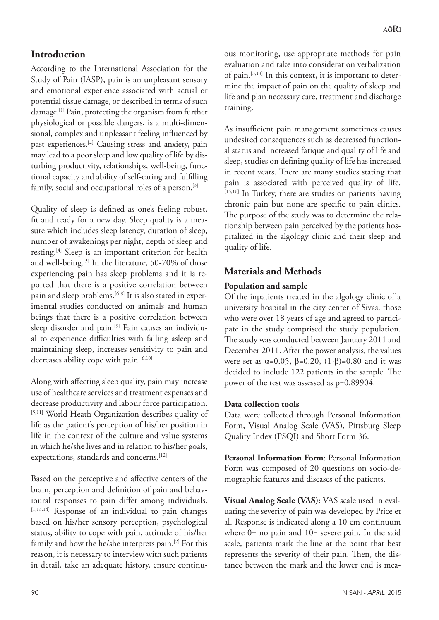# **Introduction**

According to the International Association for the Study of Pain (IASP), pain is an unpleasant sensory and emotional experience associated with actual or potential tissue damage, or described in terms of such damage.[1] Pain, protecting the organism from further physiological or possible dangers, is a multi-dimensional, complex and unpleasant feeling influenced by past experiences.[2] Causing stress and anxiety, pain may lead to a poor sleep and low quality of life by disturbing productivity, relationships, well-being, functional capacity and ability of self-caring and fulfilling family, social and occupational roles of a person.<sup>[3]</sup>

Quality of sleep is defined as one's feeling robust, fit and ready for a new day. Sleep quality is a measure which includes sleep latency, duration of sleep, number of awakenings per night, depth of sleep and resting.<sup>[4]</sup> Sleep is an important criterion for health and well-being.[5] In the literature, 50-70% of those experiencing pain has sleep problems and it is reported that there is a positive correlation between pain and sleep problems.<sup>[6-8]</sup> It is also stated in experimental studies conducted on animals and human beings that there is a positive correlation between sleep disorder and pain.<sup>[9]</sup> Pain causes an individual to experience difficulties with falling asleep and maintaining sleep, increases sensitivity to pain and decreases ability cope with pain.<sup>[6,10]</sup>

Along with affecting sleep quality, pain may increase use of healthcare services and treatment expenses and decrease productivity and labour force participation. [5,11] World Heath Organization describes quality of life as the patient's perception of his/her position in life in the context of the culture and value systems in which he/she lives and in relation to his/her goals, expectations, standards and concerns.<sup>[12]</sup>

Based on the perceptive and affective centers of the brain, perception and definition of pain and behavioural responses to pain differ among individuals.  $[1,13,14]$  Response of an individual to pain changes based on his/her sensory perception, psychological status, ability to cope with pain, attitude of his/her family and how the he/she interprets pain.[2] For this reason, it is necessary to interview with such patients in detail, take an adequate history, ensure continuous monitoring, use appropriate methods for pain evaluation and take into consideration verbalization of pain.[3,13] In this context, it is important to determine the impact of pain on the quality of sleep and life and plan necessary care, treatment and discharge training.

As insufficient pain management sometimes causes undesired consequences such as decreased functional status and increased fatique and quality of life and sleep, studies on defining quality of life has increased in recent years. There are many studies stating that pain is associated with perceived quality of life. [15,16] In Turkey, there are studies on patients having chronic pain but none are specific to pain clinics. The purpose of the study was to determine the relationship between pain perceived by the patients hospitalized in the algology clinic and their sleep and quality of life.

# **Materials and Methods**

# **Population and sample**

Of the inpatients treated in the algology clinic of a university hospital in the city center of Sivas, those who were over 18 years of age and agreed to participate in the study comprised the study population. The study was conducted between January 2011 and December 2011. After the power analysis, the values were set as  $\alpha$ =0.05,  $\beta$ =0.20, (1-β)=0.80 and it was decided to include 122 patients in the sample. The power of the test was assessed as p=0.89904.

### **Data collection tools**

Data were collected through Personal Information Form, Visual Analog Scale (VAS), Pittsburg Sleep Quality Index (PSQI) and Short Form 36.

**Personal Information Form**: Personal Information Form was composed of 20 questions on socio-demographic features and diseases of the patients.

**Visual Analog Scale (VAS)**: VAS scale used in evaluating the severity of pain was developed by Price et al. Response is indicated along a 10 cm continuum where 0= no pain and 10= severe pain. In the said scale, patients mark the line at the point that best represents the severity of their pain. Then, the distance between the mark and the lower end is mea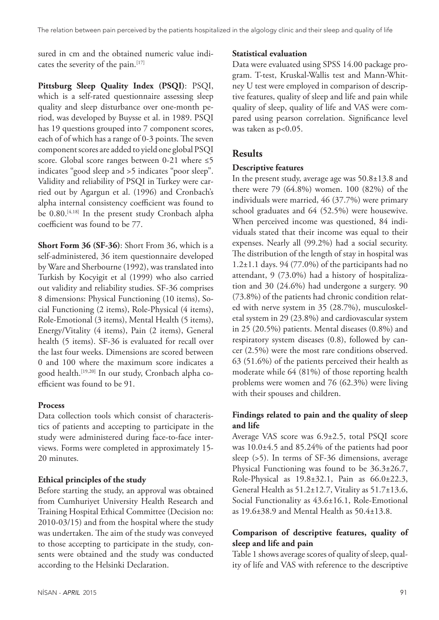sured in cm and the obtained numeric value indicates the severity of the pain.<sup>[17]</sup>

**Pittsburg Sleep Quality Index (PSQI)**: PSQI, which is a self-rated questionnaire assessing sleep quality and sleep disturbance over one-month period, was developed by Buysse et al. in 1989. PSQI has 19 questions grouped into 7 component scores, each of of which has a range of 0-3 points. The seven component scores are added to yield one global PSQI score. Global score ranges between 0-21 where ≤5 indicates "good sleep and >5 indicates "poor sleep". Validity and reliability of PSQI in Turkey were carried out by Agargun et al. (1996) and Cronbach's alpha internal consistency coefficient was found to be 0.80.<sup>[4,18]</sup> In the present study Cronbach alpha coefficient was found to be 77.

**Short Form 36 (SF-36)**: Short From 36, which is a self-administered, 36 item questionnaire developed by Ware and Sherbourne (1992), was translated into Turkish by Kocyigit et al (1999) who also carried out validity and reliability studies. SF-36 comprises 8 dimensions: Physical Functioning (10 items), Social Functioning (2 items), Role-Physical (4 items), Role-Emotional (3 items), Mental Health (5 items), Energy/Vitality (4 items), Pain (2 items), General health (5 items). SF-36 is evaluated for recall over the last four weeks. Dimensions are scored between 0 and 100 where the maximum score indicates a good health.[19,20] In our study, Cronbach alpha coefficient was found to be 91.

### **Process**

Data collection tools which consist of characteristics of patients and accepting to participate in the study were administered during face-to-face interviews. Forms were completed in approximately 15- 20 minutes.

### **Ethical principles of the study**

Before starting the study, an approval was obtained from Cumhuriyet University Health Research and Training Hospital Ethical Committee (Decision no: 2010-03/15) and from the hospital where the study was undertaken. The aim of the study was conveyed to those accepting to participate in the study, consents were obtained and the study was conducted according to the Helsinki Declaration.

### **Statistical evaluation**

Data were evaluated using SPSS 14.00 package program. T-test, Kruskal-Wallis test and Mann-Whitney U test were employed in comparison of descriptive features, quality of sleep and life and pain while quality of sleep, quality of life and VAS were compared using pearson correlation. Significance level was taken as p<0.05.

# **Results**

#### **Descriptive features**

In the present study, average age was 50.8±13.8 and there were 79 (64.8%) women. 100 (82%) of the individuals were married, 46 (37.7%) were primary school graduates and 64 (52.5%) were housewive. When perceived income was questioned, 84 individuals stated that their income was equal to their expenses. Nearly all (99.2%) had a social security. The distribution of the length of stay in hospital was 1.2±1.1 days. 94 (77.0%) of the participants had no attendant, 9 (73.0%) had a history of hospitalization and 30 (24.6%) had undergone a surgery. 90 (73.8%) of the patients had chronic condition related with nerve system in 35 (28.7%), musculoskeletal system in 29 (23.8%) and cardiovascular system in 25 (20.5%) patients. Mental diseases (0.8%) and respiratory system diseases (0.8), followed by cancer (2.5%) were the most rare conditions observed. 63 (51.6%) of the patients perceived their health as moderate while 64 (81%) of those reporting health problems were women and 76 (62.3%) were living with their spouses and children.

# **Findings related to pain and the quality of sleep and life**

Average VAS score was 6.9±2.5, total PSQI score was 10.0±4.5 and 85.24% of the patients had poor sleep (>5). In terms of SF-36 dimensions, average Physical Functioning was found to be 36.3±26.7, Role-Physical as 19.8±32.1, Pain as 66.0±22.3, General Health as 51.2±12.7, Vitality as 51.7±13.6, Social Functionality as 43.6±16.1, Role-Emotional as 19.6±38.9 and Mental Health as 50.4±13.8.

# **Comparison of descriptive features, quality of sleep and life and pain**

Table 1 shows average scores of quality of sleep, quality of life and VAS with reference to the descriptive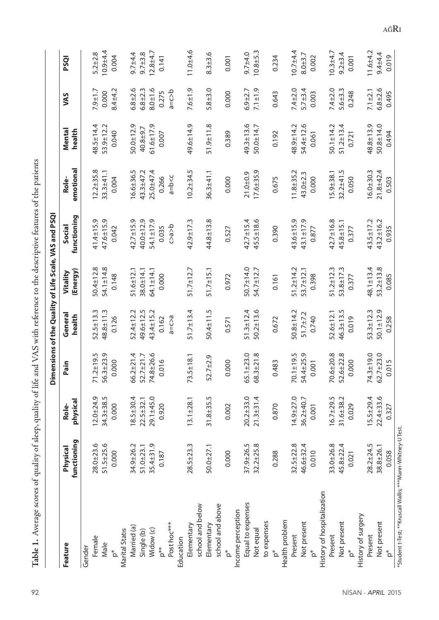|                                                              |                         |                   |                                    |                     |                      | Dimensions of the Quality of Life Scale, VAS and PSQI |                    |                  |                 |              |
|--------------------------------------------------------------|-------------------------|-------------------|------------------------------------|---------------------|----------------------|-------------------------------------------------------|--------------------|------------------|-----------------|--------------|
| Feature                                                      | functioning<br>Physical | physical<br>Role- | Pain                               | General<br>health   | (Energy)<br>Vitality | functioning<br>Social                                 | emotional<br>Role- | Mental<br>health | VAS             | PSQI         |
| Gender                                                       |                         |                   |                                    |                     |                      |                                                       |                    |                  |                 |              |
| Female                                                       | 28.0±23.6               | $12.0 + 24.9$     |                                    | 52.5±13.3           | 50.4±12.8            | $41.4 \pm 15.9$                                       | $12.2 + 35.8$      | 48.5±14.4        | $7.9 \pm 1.7$   | $5.2 + 2.8$  |
| Male                                                         | 51.5±25.6               | 34.3±38.5         | $71.2 \pm 19.5$<br>56.3 $\pm$ 23.9 | 48.8±11.3           | $54.1 \pm 14.8$      | $47.6 \pm 15.9$                                       | $33.3 + 41.1$      | 53.9±12.2        | 0.000           | $10.9 + 4.4$ |
| $\mathop{^*}\nolimits_\Omega$                                | 0.000                   | 0.000             | 0.000                              | 0.126               | 0.148                | 0.042                                                 | 0.004              | 0.040            | $8.4 + 4.2$     | 0.004        |
| <b>Marital Statis</b>                                        |                         |                   |                                    |                     |                      |                                                       |                    |                  |                 |              |
| Married (a)                                                  | 34.9±26.2               | $18.5 + 30.4$     | $66.2 \pm 21.4$                    | 52.4±12.2           | $51.6 \pm 12.1$      | $42.7 \pm 15.9$                                       | 16.6±36.5          | $50.0 + 12.9$    | $6.8 + 2.6$     | $9.7 + 4.4$  |
| Single (b)                                                   | $51.0 + 23.1$           | $22.5 + 32.1$     | $52.7 + 21.7$                      | 49.6±12.5           | $38.0 + 14.1$        | $40.0 + 12.9$                                         | 43.3±47.2          | 40.8±9.7         | $6.8 + 2.3$     | $9.7 + 3.8$  |
| Widow (c)                                                    | $35.4 \pm 31.9$         | $29.1 + 45.0$     | $1.8 + 26.6$<br>$\mathcal{L}$      | 43.4±15.2           | $64.1 \pm 14.1$      | 54.1±17.9                                             | $25.0 + 47.4$      | $61.6 \pm 17.9$  | $3.0 + 1.6$     | $12.8 + 4.7$ |
| p**                                                          | 0.187                   | 0.920             | 0.016                              | 0.162               | 0.000                | 0.035                                                 | 0.266              | 0.007            | 0.275           | 0.141        |
| Post hoc***                                                  |                         |                   |                                    | $a = c > a$         |                      | ds < 0                                                | $a = b < c$        |                  | $d = c > b$     |              |
| Education                                                    |                         |                   |                                    |                     |                      |                                                       |                    |                  |                 |              |
| Elementary                                                   | $28.5 + 23.3$           | $13.1 \pm 28.1$   | $73.5 \pm 18.1$                    | $51.7 \pm 13.4$     | $51.7 \pm 12.7$      | $42.9 \pm 17.3$                                       | $10.2 + 34.5$      | 49.6±14.9        | $7.6 + 1.9$     | $11.0 + 4.6$ |
| school and below                                             |                         |                   |                                    |                     |                      |                                                       |                    |                  |                 |              |
| Elementary                                                   | $50.0 + 27.1$           | $31.8 + 35.5$     | 52.7±2.9                           | $50.4 \pm 11.5$     | $51.7 \pm 15.1$      | 44.8±13.8                                             | $36.3 + 41.1$      | $51.9 \pm 11.8$  | $5.8 + 3.0$     | $8.3 + 3.6$  |
| school and above                                             |                         |                   |                                    |                     |                      |                                                       |                    |                  |                 |              |
| $\mathop{^*}\nolimits$                                       | 0.000                   | 0.002             | 0.000                              | 0.571               | 0.972                | 0.527                                                 | 0.000              | 0.389            | 0.000           | 0.001        |
| Income perception                                            |                         |                   |                                    |                     |                      |                                                       |                    |                  |                 |              |
| Equal to expenses                                            | $37.9 + 26.5$           | $20.2 + 33.0$     | $65.1 \pm 23.0$                    | 4<br>$51.3 \pm 12.$ | $50.7 \pm 14.0$      | 4<br>$42.7 \pm 15.$                                   | $21.0 + 0.9$       | 49.3±13.6        | $6.9 + 2.7$     | $9.7 + 4.0$  |
| Not equal                                                    | $32.2 \pm 25.8$         | $21.3 \pm 31.4$   | $68.3 \pm 21.8$                    | $50.2 \pm 13.6$     | 54.7±12.7            | $45.5 \pm 18.6$                                       | $17.6 + 35.9$      | $50.0 \pm 14.7$  | $7.1 \pm 1.9$   | $10.8 + 5.3$ |
| to expenses                                                  |                         |                   |                                    |                     |                      |                                                       |                    |                  |                 |              |
| $\mathsf{p}^*$                                               | 0.288                   | 0.870             | 0.483                              | 0.672               | 0.161                | 0.390                                                 | 0.675              | 0.192            | 0.643           | 0.234        |
| Health problem                                               |                         |                   |                                    |                     |                      |                                                       |                    |                  |                 |              |
| Present                                                      | $32.5 \pm 22.8$         | $14.9 + 27.0$     | $70.1 \pm 19.5$                    | $50.8 + 14.2$       | $51.2 \pm 14.2$      | 43.6±15.9                                             | $11.8 + 35.2$      | 48.9±14.2        | $7.4 + 2.0$     | $10.7 + 4.4$ |
| Not present                                                  | 46.6±32.4               | 36.2±40.7         | 54.4±25.9                          | $51.7 \pm 7.2$      | $53.7 \pm 12.1$      | $43.1 \pm 17.9$                                       | 43.0±2.3           | 54.4±12.6        | $5.7 + 3.4$     | $8.0 + 3.7$  |
| $\mathsf{p}^*$                                               | 0.010                   | 0.001             | 0.001                              | 0.740               | 0.398                | 0.877                                                 | 0.000              | 0.061            | 0.003           | 0.002        |
| History of hospitalization                                   |                         |                   |                                    |                     |                      |                                                       |                    |                  |                 |              |
| Present                                                      | $33.0 + 26.8$           | $16.7 + 29.5$     | $70.6 + 20.8$                      | 52.6±12.1           | S<br>$51.2 \pm 12.$  | $42.7 \pm 16.8$                                       | $15.9 + 38.1$      | $50.1 \pm 14.2$  | $7.4 + 2.0$     | $10.3 + 4.7$ |
| Not present                                                  | 45.8±22.4               | 31.6±38.2         | 52.6±22.8                          | 46.3±13.5           | 53.8±17.3            | 45.8±15.1                                             | $32.2 + 41.5$      | $51.2 \pm 13.4$  | m<br>$5.6 + 3.$ | $9.2 + 3.4$  |
| $p^*$                                                        | 0.021                   | 0.029             | 0.000                              | 0.019               | 0.377                | 0.377                                                 | 0.050              | 0.721            | 0.248           | 0.001        |
| History of surgery                                           |                         |                   |                                    |                     |                      |                                                       |                    |                  |                 |              |
| Present                                                      | $28.2 \pm 24.5$         | $15.5 \pm 29.4$   | 74.3±19.0                          | 53.3±12.3           | $48.1 \pm 13.4$      | $43.5 + 17.2$                                         | $16.0 + 30.3$      | 48.8±13.9        | $7.1 + 2.1$     | $11.6 + 4.2$ |
| Not present                                                  | $38.8 \pm 26.1$         | $22.4 \pm 33.6$   | $62.7 + 23.0$                      | $50.1 \pm 12.9$     | $53.2 \pm 13.8$      | 43.2±16.2                                             | $21.8 + 42.4$      | $50.8 + 14.0$    | $6.8 + 2.6$     | $9.4 + 4.4$  |
| $\mathbf{p}^*$                                               | 0.058                   | 0.327             | 0.015                              | 0.258               | 0.085                | 0.935                                                 | 0.503              | 0.494            | 0.495           | 0.019        |
| *Student t-Test; **Kruscall Wallis; *** Mann-Whitney-U Test. |                         |                   |                                    |                     |                      |                                                       |                    |                  |                 |              |

Table 1. Average scores of quality of sleep, quality of life and VAS with reference to the descriptive features of the patients **Table 1.** Average scores of quality of sleep, quality of life and VAS with reference to the descriptive features of the patients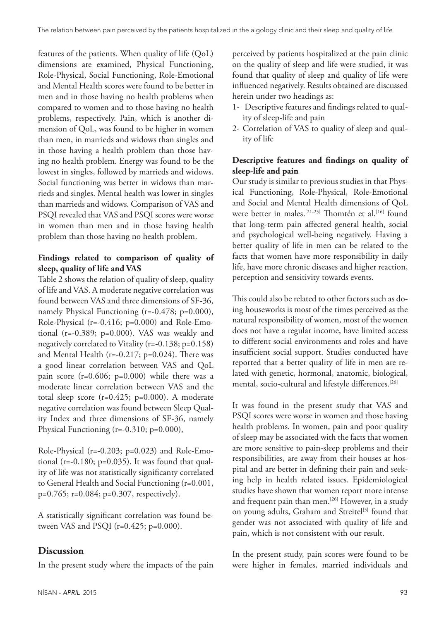features of the patients. When quality of life (QoL) dimensions are examined, Physical Functioning, Role-Physical, Social Functioning, Role-Emotional and Mental Health scores were found to be better in men and in those having no health problems when compared to women and to those having no health problems, respectively. Pain, which is another dimension of QoL, was found to be higher in women than men, in marrieds and widows than singles and in those having a health problem than those having no health problem. Energy was found to be the lowest in singles, followed by marrieds and widows. Social functioning was better in widows than marrieds and singles. Mental health was lower in singles than marrieds and widows. Comparison of VAS and PSQI revealed that VAS and PSQI scores were worse in women than men and in those having health problem than those having no health problem.

# **Findings related to comparison of quality of sleep, quality of life and VAS**

Table 2 shows the relation of quality of sleep, quality of life and VAS. A moderate negative correlation was found between VAS and three dimensions of SF-36, namely Physical Functioning (r=-0.478; p=0.000), Role-Physical (r=-0.416; p=0.000) and Role-Emotional (r=-0.389; p=0.000). VAS was weakly and negatively correlated to Vitality (r=-0.138; p=0.158) and Mental Health (r=-0.217; p=0.024). There was a good linear correlation between VAS and QoL pain score (r=0.606; p=0.000) while there was a moderate linear correlation between VAS and the total sleep score (r=0.425; p=0.000). A moderate negative correlation was found between Sleep Quality Index and three dimensions of SF-36, namely Physical Functioning (r=-0.310; p=0.000),

Role-Physical (r=-0.203; p=0.023) and Role-Emotional (r=-0.180; p=0.035). It was found that quality of life was not statistically significanty correlated to General Health and Social Functioning (r=0.001, p=0.765; r=0.084; p=0.307, respectively).

A statistically significant correlation was found between VAS and PSQI (r=0.425; p=0.000).

# **Discussion**

In the present study where the impacts of the pain

perceived by patients hospitalized at the pain clinic on the quality of sleep and life were studied, it was found that quality of sleep and quality of life were influenced negatively. Results obtained are discussed herein under two headings as:

- 1- Descriptive features and findings related to quality of sleep-life and pain
- 2- Correlation of VAS to quality of sleep and quality of life

# **Descriptive features and findings on quality of sleep-life and pain**

Our study is similar to previous studies in that Physical Functioning, Role-Physical, Role-Emotional and Social and Mental Health dimensions of QoL were better in males.<sup>[21-25]</sup> Thomtén et al.<sup>[16]</sup> found that long-term pain affected general health, social and psychological well-being negatively. Having a better quality of life in men can be related to the facts that women have more responsibility in daily life, have more chronic diseases and higher reaction, perception and sensitivity towards events.

This could also be related to other factors such as doing houseworks is most of the times perceived as the natural responsibility of women, most of the women does not have a regular income, have limited access to different social environments and roles and have insufficient social support. Studies conducted have reported that a better quality of life in men are related with genetic, hormonal, anatomic, biological, mental, socio-cultural and lifestyle differences.[26]

It was found in the present study that VAS and PSQI scores were worse in women and those having health problems. In women, pain and poor quality of sleep may be associated with the facts that women are more sensitive to pain-sleep problems and their responsibilities, are away from their houses at hospital and are better in defining their pain and seeking help in health related issues. Epidemiological studies have shown that women report more intense and frequent pain than men.<sup>[26]</sup> However, in a study on young adults, Graham and Streitel<sup>[5]</sup> found that gender was not associated with quality of life and pain, which is not consistent with our result.

In the present study, pain scores were found to be were higher in females, married individuals and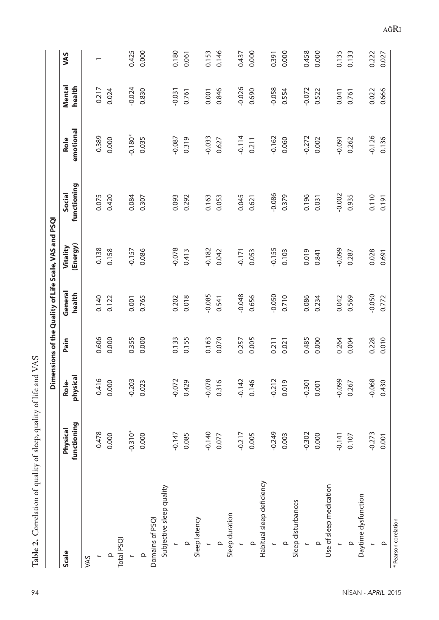|                           |                         |                   |       |                   | Dimensions of the Quality of Life Scale, VAS and PSQI |                       |                   |                  |                          |
|---------------------------|-------------------------|-------------------|-------|-------------------|-------------------------------------------------------|-----------------------|-------------------|------------------|--------------------------|
| <b>Scale</b>              | functioning<br>Physical | physical<br>Role- | Pain  | General<br>health | (Energy)<br>Vitality                                  | functioning<br>Social | emotional<br>Role | Mental<br>health | VAS                      |
| VAS                       |                         |                   |       |                   |                                                       |                       |                   |                  |                          |
| L                         | $-0.478$                | $-0.416$          | 0.606 | 0.140             | $-0.138$                                              | 0.075                 | $-0.389$          | $-0.217$         | $\overline{\phantom{0}}$ |
| $\Omega$                  | 0.000                   | 0.000             | 0.000 | 0.122             | 0.158                                                 | 0.420                 | 0.000             | 0.024            |                          |
| Total PSQI                |                         |                   |       |                   |                                                       |                       |                   |                  |                          |
| $\overline{\phantom{a}}$  | $-0.310*$               | $-0.203$          | 0.355 | 0.001             | $-0.157$                                              | 0.084                 | $-0.180*$         | $-0.024$         | 0.425                    |
| $\mathbf{\Omega}$         | 0.000                   | 0.023             | 0.000 | 0.765             | 0.086                                                 | 0.307                 | 0.035             | 0.830            | 0.000                    |
| Domains of PSQI           |                         |                   |       |                   |                                                       |                       |                   |                  |                          |
| Subjective sleep quality  |                         |                   |       |                   |                                                       |                       |                   |                  |                          |
| L                         | $-0.147$                | $-0.072$          | 0.133 | 0.202             | $-0.078$                                              | 0.093                 | $-0.087$          | $-0.031$         | 0.180                    |
| $\Omega$                  | 0.085                   | 0.429             | 0.155 | 0.018             | 0.413                                                 | 0.292                 | 0.319             | 0.761            | 0.061                    |
| Sleep latency             |                         |                   |       |                   |                                                       |                       |                   |                  |                          |
| $\overline{\phantom{0}}$  | $-0.140$                | $-0.078$          | 0.163 | $-0.085$          | $-0.182$                                              | 0.163                 | $-0.033$          | 0.001            | 0.153                    |
| $\Omega$                  | 0.077                   | 0.316             | 0.070 | 0.541             | 0.042                                                 | 0.053                 | 0.627             | 0.846            | 0.146                    |
| Sleep duration            |                         |                   |       |                   |                                                       |                       |                   |                  |                          |
| $\overline{\phantom{0}}$  | $-0.217$                | $-0.142$          | 0.257 | $-0.048$          | $-0.171$                                              | 0.045                 | $-0.114$          | $-0.026$         | 0.437                    |
| $\Omega$                  | 0.005                   | 0.146             | 0.005 | 0.656             | 0.053                                                 | 0.621                 | 0.211             | 0.690            | 0.000                    |
| Habitual sleep deficiency |                         |                   |       |                   |                                                       |                       |                   |                  |                          |
| $\overline{\phantom{0}}$  | $-0.249$                | $-0.212$          | 0.211 | $-0.050$          | $-0.155$                                              | $-0.086$              | $-0.162$          | $-0.058$         | 0.391                    |
| $\Omega$                  | 0.003                   | 0.019             | 0.021 | 0.710             | 0.103                                                 | 0.379                 | 0.060             | 0.554            | 0.000                    |
| Sleep disturbances        |                         |                   |       |                   |                                                       |                       |                   |                  |                          |
| L                         | $-0.302$                | $-0.301$          | 0.485 | 0.086             | 0.019                                                 | 0.196                 | $-0.272$          | $-0.072$         | 0.458                    |
| $\Omega$                  | 0.000                   | 0.001             | 0.000 | 0.234             | 0.841                                                 | 0.031                 | 0.002             | 0.522            | 0.000                    |
| Use of sleep medication   |                         |                   |       |                   |                                                       |                       |                   |                  |                          |
| L                         | $-0.141$                | $-0.099$          | 0.264 | 0.042             | $-0.099$                                              | $-0.002$              | $-0.091$          | 0.041            | 0.135                    |
| $\Omega$                  | 0.107                   | 0.267             | 0.004 | 0.569             | 0.287                                                 | 0.935                 | 0.262             | 0.761            | 0.133                    |
| Daytime dysfunction       |                         |                   |       |                   |                                                       |                       |                   |                  |                          |
| $\overline{a}$            | $-0.273$                | $-0.068$          | 0.228 | $-0.050$          | 0.028                                                 | 0.110                 | $-0.126$          | 0.022            | 0.222                    |
| $\mathbf{\Omega}$         | 0.001                   | 0.430             | 0.010 | 0.772             | 0.691                                                 | 0.191                 | 0.136             | 0.666            | 0.027                    |
| * Pearson corelation      |                         |                   |       |                   |                                                       |                       |                   |                  |                          |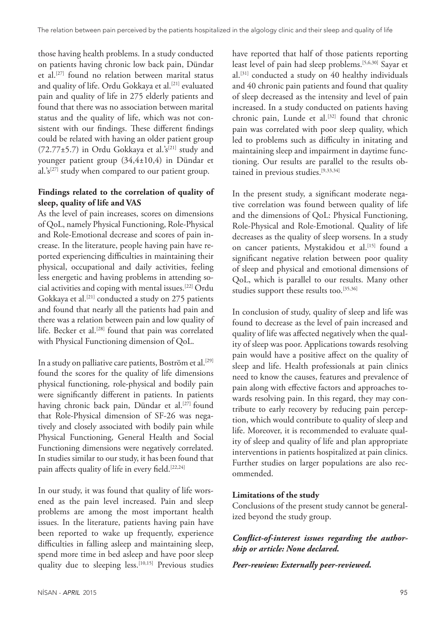those having health problems. In a study conducted on patients having chronic low back pain, Dündar et al.[27] found no relation between marital status and quality of life. Ordu Gokkaya et al.<sup>[21]</sup> evaluated pain and quality of life in 275 elderly patients and found that there was no association between marital status and the quality of life, which was not consistent with our findings. These different findings could be related with having an older patient group (72.77 $\pm$ 5.7) in Ordu Gokkaya et al.'s<sup>[21]</sup> study and younger patient group (34,4±10,4) in Dündar et al.'s<sup>[27]</sup> study when compared to our patient group.

## **Findings related to the correlation of quality of sleep, quality of life and VAS**

As the level of pain increases, scores on dimensions of QoL, namely Physical Functioning, Role-Physical and Role-Emotional decrease and scores of pain increase. In the literature, people having pain have reported experiencing difficulties in maintaining their physical, occupational and daily activities, feeling less energetic and having problems in attending social activities and coping with mental issues.[22] Ordu Gokkaya et al.[21] conducted a study on 275 patients and found that nearly all the patients had pain and there was a relation between pain and low quality of life. Becker et al.<sup>[28]</sup> found that pain was correlated with Physical Functioning dimension of QoL.

In a study on palliative care patients, Boström et al.<sup>[29]</sup> found the scores for the quality of life dimensions physical functioning, role-physical and bodily pain were significantly different in patients. In patients having chronic back pain, Dündar et al.<sup>[27]</sup> found that Role-Physical dimension of SF-26 was negatively and closely associated with bodily pain while Physical Functioning, General Health and Social Functioning dimensions were negatively correlated. In studies similar to our study, it has been found that pain affects quality of life in every field.<sup>[22,24]</sup>

In our study, it was found that quality of life worsened as the pain level increased. Pain and sleep problems are among the most important health issues. In the literature, patients having pain have been reported to wake up frequently, experience difficulties in falling asleep and maintaining sleep, spend more time in bed asleep and have poor sleep quality due to sleeping less.<sup>[10,15]</sup> Previous studies have reported that half of those patients reporting least level of pain had sleep problems.[5,6,30] Sayar et al.[31] conducted a study on 40 healthy individuals and 40 chronic pain patients and found that quality of sleep decreased as the intensity and level of pain increased. In a study conducted on patients having chronic pain, Lunde et al.<sup>[32]</sup> found that chronic pain was correlated with poor sleep quality, which led to problems such as difficulty in initating and maintaining sleep and impairment in daytime functioning. Our results are parallel to the results obtained in previous studies.<sup>[9,33,34]</sup>

In the present study, a significant moderate negative correlation was found between quality of life and the dimensions of QoL: Physical Functioning, Role-Physical and Role-Emotional. Quality of life decreases as the quality of sleep worsens. In a study on cancer patients, Mystakidou et al.<sup>[15]</sup> found a significant negative relation between poor quality of sleep and physical and emotional dimensions of QoL, which is parallel to our results. Many other studies support these results too.<sup>[35,36]</sup>

In conclusion of study, quality of sleep and life was found to decrease as the level of pain increased and quality of life was affected negatively when the quality of sleep was poor. Applications towards resolving pain would have a positive affect on the quality of sleep and life. Health professionals at pain clinics need to know the causes, features and prevalence of pain along with effective factors and approaches towards resolving pain. In this regard, they may contribute to early recovery by reducing pain perception, which would contribute to quality of sleep and life. Moreover, it is recommended to evaluate quality of sleep and quality of life and plan appropriate interventions in patients hospitalized at pain clinics. Further studies on larger populations are also recommended.

### **Limitations of the study**

Conclusions of the present study cannot be generalized beyond the study group.

# *Conflict-of-interest issues regarding the authorship or article: None declared.*

*Peer-rewiew: Externally peer-reviewed.*